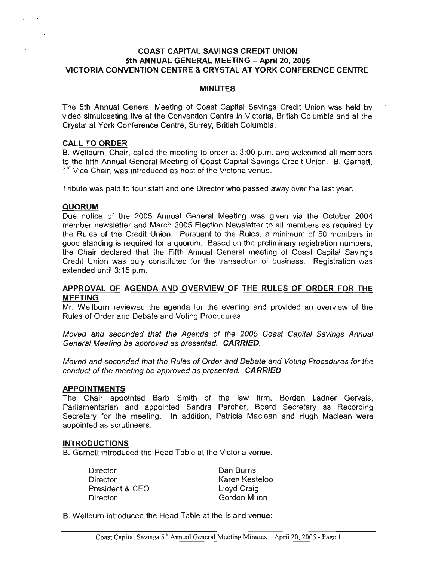# COAST CAPITAL SAVINGS CREDIT UNION 5th ANNUAL GENERAL MEETING - April 20, 2005 VICTORIA CONVENTION CENTRE & CRYSTAL AT YORK CONFERENCE CENTRE

## **MINUTES**

The 5th Annual General Meeting of Coast Capital Savings Credit Union was held by video simulcasting live at the Convention Centre in Victoria, British Columbia and at the Crystal at York Conference Centre, Surrey, British Columbia.

## CALL TO ORDER

B. Wellburn, Chair, called the meeting to order at 3:00 p.m. and welcomed all members to the fifth Annual General Meeting of Coast Capital Savings Credit Union. B. Garnett, 1<sup>st</sup> Vice Chair, was introduced as host of the Victoria venue.

Tribute was paid to four staff and one Director who passed away over the last year.

## **QUORUM**

Due notice of the 2005 Annual General Meeting was given via the October 2004 member newsletter and March 2005 Election Newsletter to all members as required by the Rules of the Credit Union. Pursuant to the Rules, a minimum of 50 members in good standing is required for a quorum. Based on the preliminary registration numbers, the Chair declared that the Fifth Annual General meeting of Coast Capital Savings Credit Union was duly constituted for the transaction of business. Registration was extended until 3:15 p.m.

# APPROVAL OF AGENDA AND OVERVIEW OF THE RULES OF ORDER FOR THE MEETING

Mr. Wellburn reviewed the agenda for the evening and provided an overview of the Rules of Order and Debate and Voting Procedures.

Moved and seconded that the Agenda of the 2005 Coast Capital SaVings Annual General Meeting be approved as presented. CARRIED.

Moved and seconded that the Rules of Order and Debate and Voting Procedures for the conduct of the meeting be approved as presented. **CARRIED**.

## APPOINTMENTS

The Chair appointed Barb Smith of the law firm, Borden Ladner Gervais, Parliamentarian and appointed Sandra Parcher, Board Secretary as Recording Secretary for the meeting. In addition, Patricia Maclean and Hugh Maclean were appointed as scrutineers.

#### INTRODUCTIONS

B. Garnett introduced the Head Table at the Victoria venue:

Director Director President & CEO Director

Dan Burns Karen Kesteloo lloyd Craig Gordon Munn

B. Wellburn introduced the Head Table at the Island venue: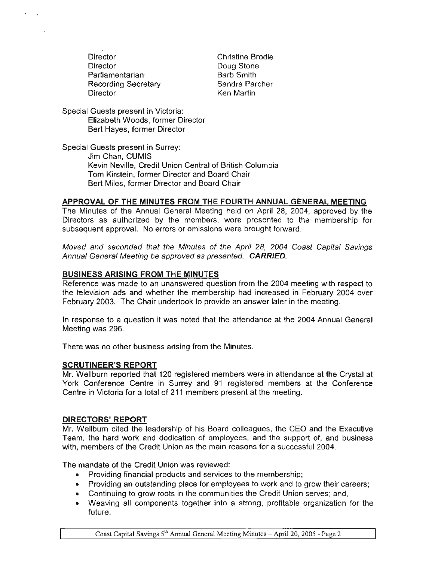**Director Director Parliamentarian** Recording Secretary **Director** 

Christine Brodie Doug Stone Barb Smith Sandra Parcher Ken Martin

Special Guests present in Victoria: Elizabeth Woods, former Director Bert Hayes, former Director

Special Guests present in Surrey: Jim Chan, CUMIS Kevin Neville, Credit Union Central of British Columbia Tom Kirstein, former Director and Board Chair Bert Miles, former Director and Board Chair

# **APPROVAL OF THE MINUTES FROM THE FOURTH ANNUAL GENERAL MEETING**

The Minutes of the Annual General Meeting held on April 28, 2004, approved by the Directors as authorized by the members, were presented to the membership for subsequent approval. No errors or omissions were brought forward.

Moved and seconded that the Minutes of the April 28, 2004 Coast Capital Savings Annual General Meeting be approved as presented. **CARR/ED.**

# **BUSINESS ARISING FROM THE MINUTES**

Reference was made to an unanswered question from the 2004 meeting with respect to the television ads and whether the membership had increased in February 2004 over February 2003. The Chair undertook to provide an answer later in the meeting.

In response to a question it was noted that the attendance at the 2004 Annual General Meeting was 296.

There was no other business arising from the Minutes.

## **SCRUTINEER'S REPORT**

Mr. Wellburn reported that 120 registered members were in attendance at the Crystal at York Conference Centre in Surrey and 91 registered members at the Conference Centre in Victoria for a total of 211 members present at the meeting.

## **DIRECTORS'REPORT**

Mr. Wellburn cited the leadership of his Board colleagues, the CEO and the Executive Team, the hard work and dedication of employees, and the support of, and business with, members of the Credit Union as the main reasons for a successful 2004.

The mandate of the Credit Union was reviewed:

- Providing financial products and services to the membership;
- Providing an outstanding place for employees to work and to grow their careers;
- Continuing to grow roots in the communities the Credit Union serves; and,
- Weaving all components together into a strong, profitable organization for the future.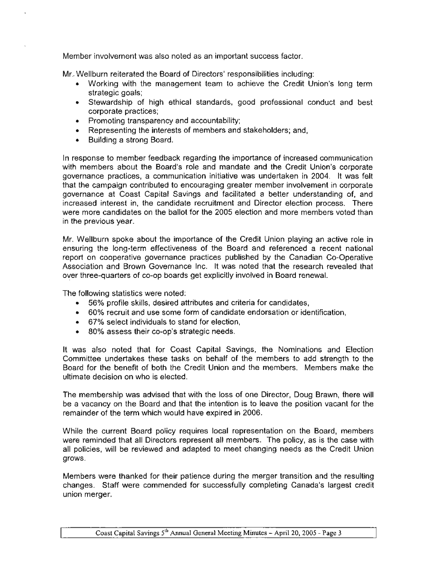Member involvement was also noted as an important success factor.

Mr.. Wellburn reiterated the Board of Directors' responsibilities including:

- Working with the management team to achieve the Credit Union's tong term strategic goals;
- Stewardship of high ethical standards, good professional conduct and best corporate practices;
- Promoting transparency and accountability;
- Representing the interests of members and stakeholders; and,
- Building a strong Board.

In response to member feedback regarding the importance of increased communication with members about the Board's role and mandate and the Credit Union's corporate governance practices, a communication initiative was undertaken in 2004. It was felt that the campaign contributed to encouraging greater member involvement in corporate governance at Coast Capital Savings and facilitated a better understanding of, and increased interest in, the candidate recruitment and Director election process. There were more candidates on the ballot for the 2005 election and more members voted than in the previous year.

Mr. Wellburn spoke about the importance of the Credit Union playing an active role in ensuring the long-term effectiveness of the Board and referenced a recent national report on cooperative governance practices published by the Canadian Co-Operative Association and Brown Governance Inc. It was noted that the research revealed that over three-quarters of co-op boards get explicitly involved in Board renewal.

The following statistics were noted:

- 56% profile skills, desired attributes and criteria for candidates,
- 60% recruit and use some form of candidate endorsation or identification,
- 67% select individuals to stand for election,
- 80% assess their co-op's strategic needs.

It was also noted that for Coast Capital Savings, the Nominations and Election Committee undertakes these tasks on behalf of the members to add strength to the Board for the benefit of both the Credit Union and the members. Members make the ultimate decision on who is elected.

The membership was advised that with the loss of one Director, Doug Brawn, there will be a vacancy on the Board and that the intention is to leave the position vacant for the remainder of the term which would have expired in 2006.

While the current Board policy requires local representation on the Board, members were reminded that all Directors represent all members. The policy. as is the case with all policies, will be reviewed and adapted to meet changing needs as the Credit Union grows.

Members were thanked for their patience during the merger transition and the resulting changes. Staff were commended for successfully completing Canada's largest credit union merger.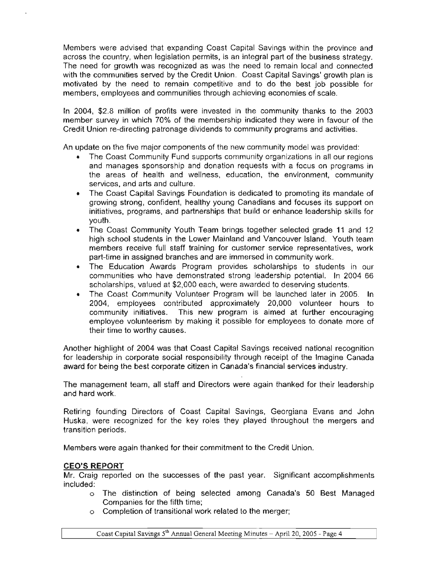Members were advised that expanding Coast Capital Savings within the province and across the country, when legislation permits, is an integral part of the business strategy. The need for growth was recognized as was the need to remain local and connected with the communities served by the Credit Union. Coast Capital Savings' growth plan is motivated by the need to remain competitive and to do the best job possible for members, employees and communities through achieving economies of scale.

In 2004, \$2.8 million of profits were invested in the community thanks to the 2003 member survey in which 70% of the membership indicated they were in favour of the Credit Union re-directing patronage dividends to community programs and activities.

An update on the five major components of the new community model was provided:

- The Coast Community Fund supports community organizations in all our regions and manages sponsorship and donation requests with a focus on programs in the areas of health and wellness, education, the environment, community services, and arts and culture.
- The Coast Capital Savings Foundation is dedicated to promoting its mandate of growing strong, confident, healthy young Canadians and focuses its support on initiatives, programs, and partnerships that build or enhance leadership skills for youth.
- The Coast Community Youth Team brings together selected grade 11 and 12 high school students in the Lower Mainland and Vancouver Island. Youth team members receive full staff training for customer service representatives, work part-time in assigned branches and are immersed in community work.
- The Education Awards Program provides scholarships to students in our communities who have demonstrated strong leadership potential. In 2004 66 scholarships, valued at \$2,000 each, were awarded to deserving students.
- The Coast Community Volunteer Program will be launched later in 2005. In 2004, employees contributed approximately 20,000 volunteer hours to community initiatives. This new program is aimed at further encouraging employee volunteerism by making it possible for employees to donate more of their time to worthy causes.

Another highlight of 2004 was that Coast Capital Savings received national recognition for leadership in corporate social responsibility through receipt of the Imagine Canada award for being the best corporate citizen in Canada's financial services industry.

The management team, all staff and Directors were again thanked for their leadership and hard work.

Retiring founding Directors of Coast Capital Savings, Georgiana Evans and John Huska, were recognized for the key roles they played throughout the mergers and transition periods.

Members were again thanked for their commitment to the Credit Union.

# CEO'S REPORT

Mr. Craig reported on the successes of the past year. Significant accomplishments included:

- o The distinction of being selected among Canada's 50 Best Managed Companies for the fifth time;
- o Completion of transitional work related to the merger;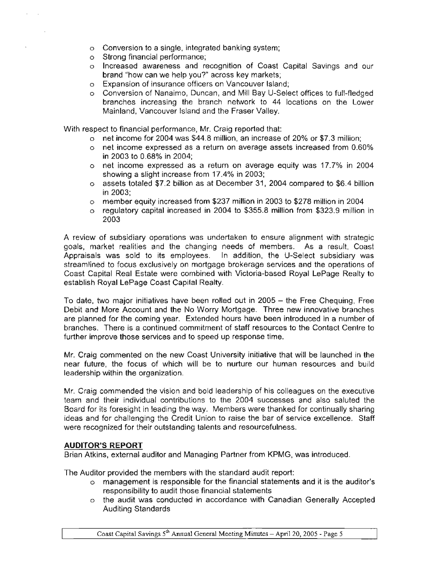- o Conversion to a single, integrated banking system;
- o Strong financial performance;
- o Increased awareness and recognition of Coast Capital Savings and our brand "how can we help you?" across key markets;
- o Expansion of insurance officers on Vancouver Island;
- o Conversion of Nanaimo, Duncan, and Mill Bay U-Select offices to full-fledged branches increasing the branch network to 44 locations on the Lower Mainland, Vancouver Island and the Fraser Valley.

With respect to financial performance, Mr. Craig reported that:

- o net income for 2004 was \$44.8 million, an increase of 20% or \$7.3 million;
- o net income expressed as a return on average assets increased from 0.60% in 2003 to 0.68% in 2004;
- o net income expressed as a return on average equity was 17.7% in 2004 showing a slight increase from 17.4% in 2003;
- o assets totaled \$7.2 billion as at December 31, 2004 compared to \$6.4 billion in 2003;
- o member equity increased from \$237 million in 2003 to \$278 million in 2004
- o regulatory capital increased in 2004 to \$355.8 million from \$323.9 million in 2003

A review of subsidiary operations was undertaken to ensure alignment with strategic goals, market realities and the changing needs of members. As a result, Coast Appraisals was sold to its employees. In addition, the U-Select subsidiary was streamlined to focus exclusively on mortgage brokerage services and the operations of Coast Capital Real Estate were combined with Victoria-based Royal LePage Realty to establish Royal LePage Coast Capital Realty.

To date, two major initiatives have been rolled out in 2005 - the Free Chequing, Free Debit and More Account and the No Worry Mortgage. Three new innovative branches are planned for the coming year. Extended hours have been introduced in a number of branches. There is a continued commitment of staff resources to the Contact Centre to further improve those services and to speed up response time.

Mr. Craig commented on the new Coast University initiative that will be launched in the near future, the focus of which will be to nurture our human resources and build leadership within the organization.

Mr. Craig commended the vision and bold leadership of his colleagues on the executive team and their individual contributions to the 2004 successes and also saluted the Board for its foresight in leading the way. Members were thanked for continually sharing ideas and for challenging the Credit Union to raise the bar of service excellence. Staff were recognized for their outstanding talents and resourcefulness.

# **AUDITOR'S REPORT**

Brian Atkins, external auditor and Managing Partner from KPMG, was introduced.

The Auditor provided the members with the standard audit report:

- o management is responsible for the financial statements and it is the auditor's responsibility to audit those financial statements
- o the audit was conducted in accordance with Canadian Generally Accepted Auditing Standards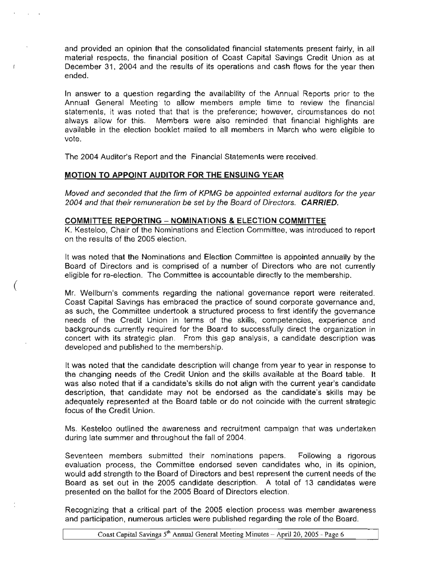and provided an opinion that the consolidated financial statements present fairly, in all material respects, the financial position of Coast Capital Savings Credit Union as at December 31, 2004 and the results of its operations and cash flows for the year then ended.

In answer to a question regarding the availability of the Annual Reports prior to the Annual General Meeting- to allow members ample time to review the financial statements, it was noted that that is the preference; however, circumstances do not always allow for this. Members were also reminded that financial highlights are available in the election booklet mailed to all members in March who were eligible to vote.

The 2004 Auditor's Report and the Financial Statements were received.

# **MOTION TO APPOINT AUDITOR FOR THE ENSUING YEAR**

(

 $\overline{1}$ 

Moved and seconded that the firm of KPMG be appointed external auditors for the year 2004 and that their remuneration be set by the Board of Directors. **CARRIED.**

### **COMMITTEE REPORTING - NOMINATIONS & ELECTION COMMITTEE**

K. Kesteloo, Chair of the Nominations and Election Committee, was introduced to report on the results of the 2005 election.

It was noted that the Nominations and Election Committee is appointed annually by the Board of Directors and is comprised of a number of Directors who are not currently eligible for re-election. The Committee is accountable directly to the membership.

Mr. Wellburn's comments regarding the national governance report were reiterated. Coast Capital Savings has embraced the practice of sound corporate governance and, as such, the Committee undertook a structured process to first identify the governance needs of the Credit Union in terms of the skills, competencies, experience and backgrounds currently required for the Board to successfully direct the organization in concert with its strategic plan. From this gap analysis, a candidate description was developed and published to the membership.

It was noted that the candidate description will change from year to year in response to the changing needs of the Credit Union and the skills available at the Board table. It was also noted that if a candidate's skills do not align with the current year's candidate description, that candidate may not be endorsed as the candidate's skills may be adequately represented at the Board table or do not coincide with the current strategic focus of the Credit Union.

Ms. Kesteloo outlined the awareness and recruitment campaign that was undertaken during late summer and throughout the fall of 2004.

Seventeen members submitted their nominations papers. Following a rigorous evaluation process, the Committee endorsed seven candidates who. in its opinion, would add strength to the Board of Directors and best represent the current needs of the Board as set out in the 2005 candidate description. A total of 13 candidates were presented on the ballot for the 2005 Board of Directors election.

Recognizing that a critical part of the 2005 election process was member awareness and participation, numerous articles were published regarding the role of the Board.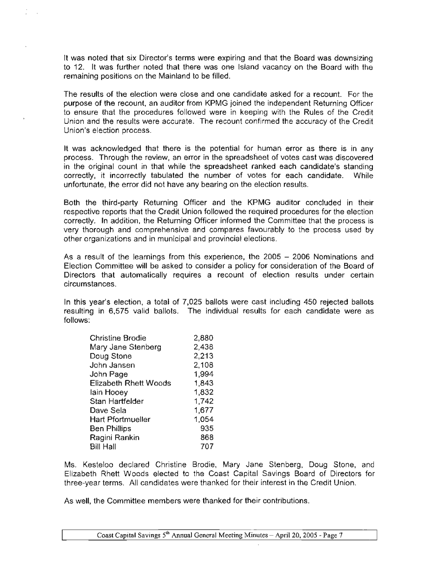It was noted that six Director's terms were expiring and that the Board was downsizing to 12. It was further noted that there was one Island vacancy on the Board with the remaining positions on the Mainland to be filled.

The results of the election were close and one candidate asked for a recount. For the purpose of the recount, an auditor from KPMG joined the independent Returning Officer to ensure that the procedures followed were in keeping with the Rules of the Credit Union and the results were accurate. The recount confirmed the accuracy of the Credit Union's election process.

It was acknowledged that there is the potential for human error as there is in any process. Through the review, an error in the spreadsheet of votes cast was discovered in the original count in that while the spreadsheet ranked each candidate's standing correctly, it incorrectly tabulated the number of votes for each candidate. While unfortunate, the error did not have any bearing on the election results.

Both the third-party Returning Officer and the KPMG auditor concluded in their respective reports that the Credit Union followed the required procedures for the election correctly. In addition, the Returning Officer informed the Committee that the process is very thorough and comprehensive and compares favourably to the process used by other organizations and in municipal and provincial elections.

As a result of the learnings from this experience, the 2005 - 2006 Nominations and Election Committee will be asked to consider a policy for consideration of the Board of Directors that automatically requires a recount of election results under certain circumstances.

In this year's election, a total of 7,025 ballots were cast including 450 rejected ballots resulting in 6,575 valid ballots. The individual results for each candidate were as follows:

| <b>Christine Brodie</b>      | 2,880 |
|------------------------------|-------|
| Mary Jane Stenberg           | 2,438 |
| Doug Stone                   | 2,213 |
| John Jansen                  | 2,108 |
| John Page                    | 1,994 |
| <b>Elizabeth Rhett Woods</b> | 1,843 |
| lain Hooey                   | 1,832 |
| Stan Hartfelder              | 1,742 |
| Dave Sela                    | 1,677 |
| <b>Hart Pfortmueller</b>     | 1,054 |
| <b>Ben Phillips</b>          | 935   |
| Ragini Rankin                | 868   |
| <b>Bill Hall</b>             | 707   |
|                              |       |

Ms. Kesteloo declared Christine Brodie, Mary Jane Stenberg. Doug Stone, and Elizabeth Rhett Woods elected to the Coast Capital Savings Board of Directors for three~year terms. All candidates were thanked for their interest in the Credit Union.

As well, the Committee members were thanked for their contributions.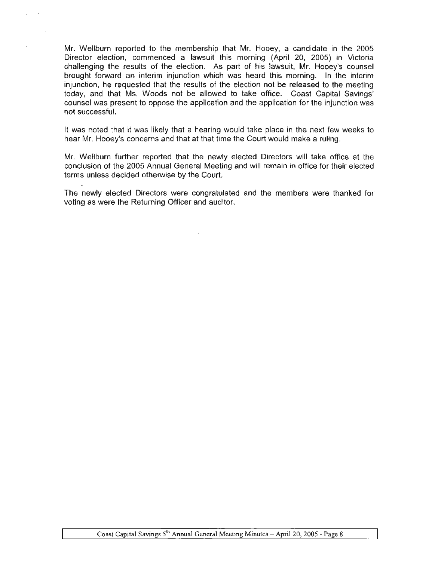Mr. Wellburn reported to the membership that Mr. Hooey, a candidate in the 2005 Director election, commenced a lawsuit this morning (April 20, 2005) in Victoria challenging the results of the election. As part of his lawsuit, Mr. Hooey's counsel brought forward an interim injunction which was heard this morning. In the interim injunction, he requested that the results of the election not be released to the meeting today, and that Ms. Woods not be allowed to take office. Coast Capital Savings' counsel was present to oppose the application and the application for the injunction was not successful.

It was noted that it was likely that a hearing would take place in the next few weeks to hear Mr. Hooey's concerns and that at that time the Court would make a ruling.

Mr. Wellburn further reported that the newly elected Directors will take office at the conclusion of the 2005 Annual General Meeting and will remain in office for their elected terms unless decided otherwise by the Court.

The newly elected Directors were congratulated and the members were thanked for voting as were the Returning Officer and auditor.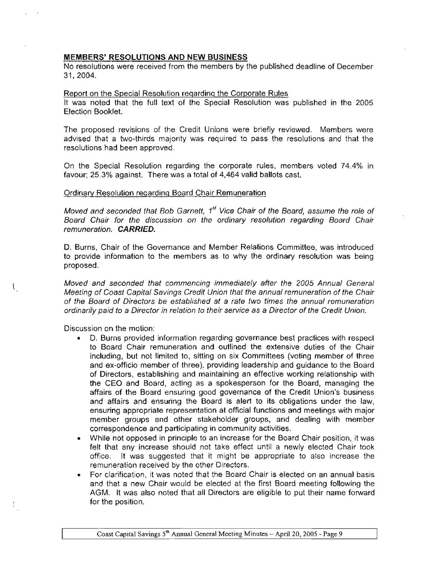### **MEMBERS' RESOLUTIONS AND NEW BUSINESS**

No resolutions were received from the members by the published deadline of December 31,2004.

#### Report on the Special Resolution regarding the Corporate Rules

It was noted that the full text of the Special Resolution was published in the 2005 Election Booklet.

The proposed revisions of the Credit Unions were briefly reviewed. Members were advised that a two-thirds majority was required to pass the resolutions and that the resolutions had been approved.

On the Special Resolution regarding the corporate rules, members voted 74.4% in favour; 25.3% against. There was a total of 4,464 valid ballots cast.

### Ordinary Resolution regarding Board Chair Remuneration

Moved and seconded that Bob Garnett, 1 *st* Vice Chair of the Board, assume the role of Board Chair for the discussion on the ordinary resolution regarding Board Chair remuneration. **CARRIED.**

D. Burns, Chair of the Governance and Member Relations Committee, was introduced to provide information to the members as to why the ordinary resolution was being proposed.

Moved and seconded that commencing immediately after the 2005 Annual General Meeting of Coast Capital Savings Credit Union that the annual remuneration of the Chair of the Board of Directors be established at a rate two times the annual remuneration ordinarily paid to a Director in relation to their service as a Director of the Credit Union.

Discussion on the motion:

 $\left($ 

- D. Burns provided information regarding governance best practices with respect to Board Chair remuneration and outlined the extensive duties of the Chair including, but not limited to, sitting on six Committees (voting member of three and ex-officio member of three), providing leadership and guidance to the Board of Directors, establishing and maintaining an effective working relationship with the CEO and Board, acting as a spokesperson for the Board, managing the affairs of the Board ensuring good governance of the Credit Union's business and affairs and ensuring the Board is alert to its obligations under the law, ensuring appropriate representation at official functions and meetings with major member groups and other stakeholder groups, and dealing with member correspondence and participating in community activities.
- While not opposed in principle to an increase for the Board Chair position, it was felt that any increase should not take effect until a newly elected Chair took office. It was suggested that it might be appropriate to also increase the remuneration received by the other Directors.
- For clarification, it was noted that the Board Chair is elected on an annual basis and that a new Chair would be elected at the first Board meeting following the AGM. **It** was also noted that all Directors are eligible to put their name forward for the position.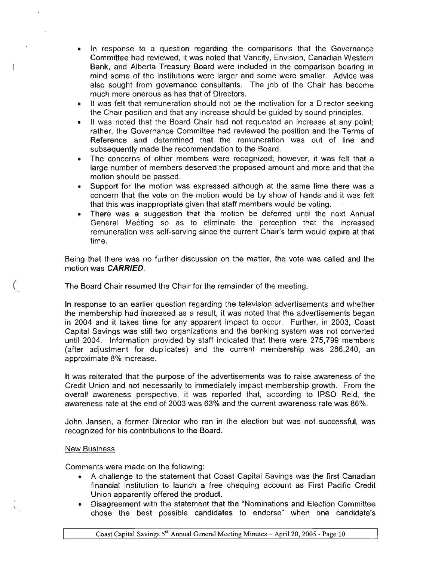- In response to a question regarding the comparisons that the Governance Committee had reviewed. it was noted that Vancity, Envision, Canadian Western Bank, and Alberta Treasury Board were included in the comparison bearing in mind some of the institutions were larger and some were smaller. Advice was also sought from governance consultants. The job of the Chair has become. much more onerous as has that of Directors.
- It was felt that remuneration should not be the motivation for a Director seeking the Chair position and that any increase should be guided by sound principles.
- It was noted that the Board Chair had not requested an increase at any point; rather, the Governance Committee had reviewed the position and the Terms of Reference and determined that the remuneration was out of line and subsequently made the recommendation to the Board.
- The concerns of other members were recognized; however, it was felt that a large number of members deserved the proposed amount and more and that the motion should be passed.
- Support for the motion was expressed although at the same time there was a concern that the vote on the motion would be by show of hands and it was felt that this was inappropriate given that staff members would be voting.
- There was a suggestion that the motion be deferred until the next Annual General Meeting so as to eliminate the perception that the increased remuneration was self-serving since the current Chair's term would expire at that time.

Being that there was no further discussion on the matter, the vote was called and the motion was CARRIED.

The Board Chair resumed the Chair for the remainder of the meeting.

In response to an earlier question regarding the television advertisements and whether the membership had increased as a result, it was noted that the advertisements began in 2004 and it takes time for any apparent impact to occur. Further, in 2003, Coast Capital Savings was still two organizations and the banking system was not converted until 2004. Information provided by staff indicated that there were 275,799 members (after adjustment for duplicates) and the current membership was 286,240, an approximate 8% increase.

It was reiterated that the purpose of the advertisements was to raise awareness of the Credit Union and not necessarily to immediately impact membership growth. From the overall awareness perspective, it was reported that, according to IPSO Reid, the awareness rate at the end of 2003 was 63% and the current awareness rate was 86%.

John Jansen. a former Director who ran in the election but was not successful, was recognized for his contributions to the Board.

## New Business

(

Comments were made on the following:

- A challenge to the statement that Coast Capital Savings was the first Canadian financial institution to launch a free chequing account as First Pacific Credit Union apparently offered the product.
- Disagreement with the statement that the "Nominations and Election Committee chose the best possible candidates to endorse" when one candidate's